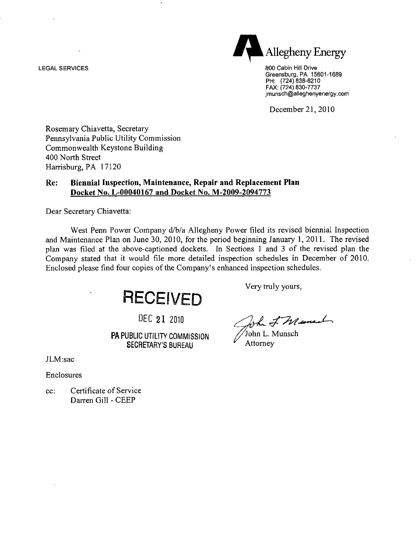LEGAL SERVICES 800 Cabin Hill Drive



Greensburg, PA 15601-1689 PH: (724) 838-6210 FAX: (724) 830-7737 imunsch@alleghenyenergy.com

December 21, 2010

Rosemary Chiavetta, Secretary Pennsylvania Public Utility Commission Commonwealth Keystone Building 400 North Street Harrisburg, PA 17120

#### **Re: Biennial Inspection, Maintenance, Repair and Replacement Plan Docket No. L-00040167 and Docket No. M-2009-2094773**

Dear Secretary Chiavetta:

West Penn Power Company d/b/a Allegheny Power filed its revised biennial Inspection and Maintenance Plan on June 30, 2010, for the period beginning January 1, 2011. The revised plan was filed at the above-captioned dockets. In Sections 1 and 3 of the revised plan the Company stated that it would file more detailed inspection schedules in December of 2010. Enclosed please find four copies of the Company's enhanced inspection schedules.

**RECEIVED** 

PA PUBLIC UTILITY COMMISSION SECRETARY'S BUREAU Attorney SECRETARY'S BUREAU

Very truly yours,

DEC 21 2010  $\sqrt{h}$  T W and  $\sqrt{v}$ <br>IC UTILITY COMMISSION John L. Munsch

JLM:sac

Enclosures

cc: Certificate of Service Darren Gill - CEEP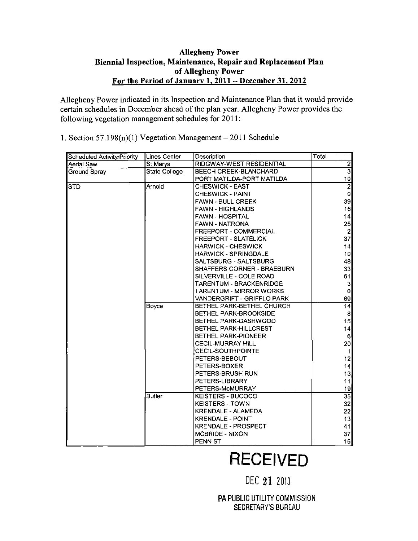### **Allegheny Power Biennial Inspection, Maintenance, Repair and Replacement Plan of Allegheny Power For the Period of January 1, 2011 - December 31,2012**

Allegheny Power indicated in its Inspection and Maintenance Plan that it would provide certain schedules in December ahead of the plan year. Allegheny Power provides the following vegetation management schedules for 2011:

1. Section 57.198 $(n)(1)$  Vegetation Management - 2011 Schedule

| <b>Scheduled Activity/Priority</b> | <b>Lines Center</b>  | Description                       | Total           |
|------------------------------------|----------------------|-----------------------------------|-----------------|
| Aerial Saw                         | St Marys             | RIDGWAY-WEST RESIDENTIAL          | $\frac{2}{3}$   |
| Ground Spray                       | <b>State College</b> | BEECH CREEK-BLANCHARD             |                 |
|                                    |                      | PORT MATILDA-PORT MATILDA         | 10 <sub>l</sub> |
| <b>STD</b>                         | Arnold               | <b>CHESWICK - EAST</b>            | $\overline{2}$  |
|                                    |                      | <b>CHESWICK - PAINT</b>           | 0               |
|                                    |                      | <b>FAWN - BULL CREEK</b>          | 39              |
|                                    |                      | <b>FAWN - HIGHLANDS</b>           | 16              |
|                                    |                      | <b>FAWN - HOSPITAL</b>            | 4               |
|                                    |                      | <b>FAWN - NATRONA</b>             | 25              |
|                                    |                      | <b>FREEPORT - COMMERCIAL</b>      | $\mathbf{2}$    |
|                                    |                      | <b>FREEPORT - SLATELICK</b>       | 37              |
|                                    |                      | <b>HARWICK - CHESWICK</b>         | 14              |
|                                    |                      | <b>HARWICK - SPRINGDALE</b>       | 10 <sub>l</sub> |
|                                    |                      | SALTSBURG - SALTSBURG             | 48              |
|                                    |                      | <b>SHAFFERS CORNER - BRAEBURN</b> | 33              |
|                                    |                      | SILVERVILLE - COLE ROAD           | 61              |
|                                    |                      | <b>TARENTUM - BRACKENRIDGE</b>    | 3               |
|                                    |                      | <b>TARENTUM - MIRROR WORKS</b>    | $\bf{0}$        |
|                                    |                      | VANDERGRIFT - GRIFFLO PARK        | 69              |
|                                    | Boyce                | BETHEL PARK-BETHEL CHURCH         | 4               |
|                                    |                      | <b>BETHEL PARK-BROOKSIDE</b>      | 8               |
|                                    |                      | BETHEL PARK-DASHWOOD              | 15              |
|                                    |                      | BETHEL PARK-HILLCREST             | 4               |
|                                    |                      | <b>BETHEL PARK-PIONEER</b>        | 6               |
|                                    |                      | <b>CECIL-MURRAY HILL</b>          | 20 <sub>l</sub> |
|                                    |                      | <b>CECIL-SOUTHPOINTE</b>          | 1               |
|                                    |                      | PETERS-BEBOUT                     | 12              |
|                                    |                      | PETERS-BOXER                      | 4               |
|                                    |                      | PETERS-BRUSH RUN                  | 13              |
|                                    |                      | PETERS-LIBRARY                    | 11]             |
|                                    |                      | PETERS-McMURRAY                   | 19              |
|                                    | <b>Butler</b>        | <b>KEISTERS - BUCOCO</b>          | $\overline{35}$ |
|                                    |                      | <b>KEISTERS - TOWN</b>            | 32              |
|                                    |                      | <b>KRENDALE - ALAMEDA</b>         | 22              |
|                                    |                      | <b>KRENDALE - POINT</b>           | 13              |
|                                    |                      | <b>KRENDALE - PROSPECT</b>        | 41              |
|                                    |                      | <b>MCBRIDE - NIXON</b>            | 37              |
|                                    |                      | <b>PENN ST</b>                    | 15              |

# **RECEIVED**

## DEC 21 2010

PA PUBLIC UTILITY COMMISSION SECRETARY'S BUREAU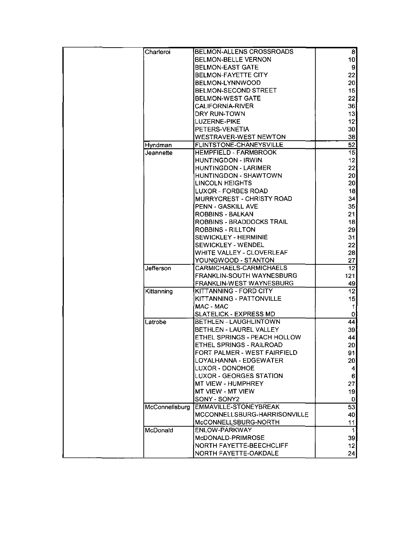| Charleroi        | BELMON-ALLENS CROSSROADS         | 8               |
|------------------|----------------------------------|-----------------|
|                  | <b>BELMON-BELLE VERNON</b>       | 10 <sup>1</sup> |
|                  | <b>BELMON-EAST GATE</b>          | 9               |
|                  | <b>BELMON-FAYETTE CITY</b>       | 22              |
|                  | BELMON-LYNNWOOD                  | 20              |
|                  | <b>BELMON-SECOND STREET</b>      | 15              |
|                  | <b>BELMON-WEST GATE</b>          | 22              |
|                  | <b>CALIFORNIA-RIVER</b>          | 36              |
|                  | DRY RUN-TOWN                     | 13              |
|                  | LUZERNE-PIKE                     | 12              |
|                  | PETERS-VENETIA                   | 30 <sup>2</sup> |
|                  | <b>WESTRAVER-WEST NEWTON</b>     | 38              |
| Hyndman          | FLINTSTONE-CHANEYSVILLE          | 52              |
| Jeannette        | <b>HEMPFIELD - FARMBROOK</b>     | 15              |
|                  | <b>HUNTINGDON - IRWIN</b>        | 12              |
|                  | <b>HUNTINGDON - LARIMER</b>      | 22              |
|                  | HUNTINGDON - SHAWTOWN            | 20 <sub>l</sub> |
|                  | <b>LINCOLN HEIGHTS</b>           | 20 <sub>l</sub> |
|                  |                                  |                 |
|                  | <b>LUXOR - FORBES ROAD</b>       | 18              |
|                  | <b>MURRYCREST - CHRISTY ROAD</b> | 34              |
|                  | <b>PENN - GASKILL AVE</b>        | 35              |
|                  | ROBBINS - BALKAN                 | 21              |
|                  | ROBBINS - BRADDOCKS TRAIL        | 18              |
|                  | ROBBINS - RILLTON                | 29              |
|                  | SEWICKLEY - HERMINIE             | 31              |
|                  | SEWICKLEY - WENDEL               | 22              |
|                  | WHITE VALLEY - CLOVERLEAF        | 28              |
|                  | YOUNGWOOD - STANTON              | 27              |
| <b>Jefferson</b> | CARMICHAELS-CARMICHAELS          | 12              |
|                  | FRANKLIN-SOUTH WAYNESBURG        | 121             |
|                  | FRANKLIN-WEST WAYNESBURG         | 49              |
| Kittanning       | KITTANNING - FORD CITY           | 12              |
|                  | KITTANNING - PATTONVILLE         | 15              |
|                  | MAC - MAC                        | 11              |
|                  | SLATELICK - EXPRESS MD           | $\mathbf{0}$    |
| Latrobe          | BETHLEN - LAUGHLINTOWN           | 44              |
|                  | BETHLEN - LAUREL VALLEY          | 39              |
|                  | ETHEL SPRINGS - PEACH HOLLOW     | 44              |
|                  | ETHEL SPRINGS - RAILROAD         | 20 <sub>l</sub> |
|                  | FORT PALMER - WEST FAIRFIELD     | 91              |
|                  | LOYALHANNA - EDGEWATER           | 20              |
|                  | LUXOR - DONOHOE                  | $\vert$         |
|                  | <b>LUXOR - GEORGES STATION</b>   | $6\phantom{.0}$ |
|                  | <b>MT VIEW - HUMPHREY</b>        | 27              |
|                  | MT VIEW - MT VIEW                | 19              |
|                  | SONY - SONY2                     | 0               |
| McConnellsburg   | EMMAVILLE-STONEYBREAK            | 53              |
|                  | MCCONNELLSBURG-HARRISONVILLE     | 40 <sub>l</sub> |
|                  | McCONNELLSBURG-NORTH             | 11              |
| McDonald         | ENLOW-PARKWAY                    | 1               |
|                  | McDONALD-PRIMROSE                | 39              |
|                  | NORTH FAYETTE-BEECHCLIFF         | 12              |
|                  | NORTH FAYETTE-OAKDALE            | 24              |
|                  |                                  |                 |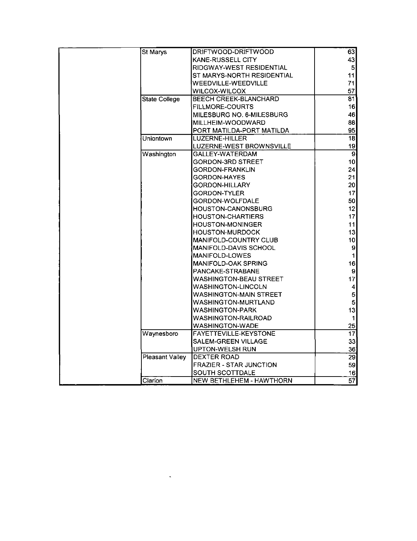| St Marys<br>63<br>DRIFTWOOD-DRIFTWOOD<br>43<br><b>KANE-RUSSELL CITY</b><br>RIDGWAY-WEST RESIDENTIAL<br>$\overline{5}$<br>11<br>ST MARYS-NORTH RESIDENTIAL<br>WEEDVILLE-WEEDVILLE<br>71<br><b>WILCOX-WILCOX</b><br>57<br><b>State College</b><br><b>BEECH CREEK-BLANCHARD</b><br>81<br><b>FILLMORE-COURTS</b><br>16<br>46<br>MILESBURG NO. 6-MILESBURG<br>88<br>MILLHEIM-WOODWARD<br>95<br>PORT MATILDA-PORT MATILDA<br> 18 <br>LUZERNE-HILLER<br>Uniontown<br>19<br>LUZERNE-WEST BROWNSVILLE<br>$\overline{9}$<br>Washington<br><b>GALLEY-WATERDAM</b><br>10<br>GORDON-3RD STREET<br>24<br>GORDON-FRANKLIN<br>21<br>GORDON-HAYES<br>20 <sub>l</sub><br>GORDON-HILLARY<br>17<br><b>GORDON-TYLER</b><br>50 <br>GORDON-WOLFDALE<br>12<br>HOUSTON-CANONSBURG<br>17<br><b>HOUSTON-CHARTIERS</b><br>11<br>HOUSTON-MONINGER<br>13<br><b>HOUSTON-MURDOCK</b><br>10 <sub>l</sub><br>MANIFOLD-COUNTRY CLUB<br>$\mathbf{g}$<br><b>MANIFOLD-DAVIS SCHOOL</b><br>MANIFOLD-LOWES<br>$\mathbf 1$<br>16<br><b>MANIFOLD-OAK SPRING</b><br>$\mathbf{S}$<br>PANCAKE-STRABANE<br>17<br>WASHINGTON-BEAU STREET<br>WASHINGTON-LINCOLN<br>$\overline{\mathbf{4}}$<br>$\overline{5}$<br>WASHINGTON-MAIN STREET<br>$\overline{5}$<br>WASHINGTON-MURTLAND<br>13<br><b>WASHINGTON-PARK</b><br>WASHINGTON-RAILROAD<br>1<br>25<br>WASHINGTON-WADE<br>Waynesboro<br>FAYETTEVILLE-KEYSTONE<br>$\overline{17}$<br>33<br>SALEM-GREEN VILLAGE<br>36<br>UPTON-WELSH RUN<br>Pleasant Valley<br>$\overline{29}$<br>DEXTER ROAD<br>FRAZIER - STAR JUNCTION<br>59<br>SOUTH SCOTTDALE<br>16<br>$\overline{57}$<br>Clarion<br>NEW BETHLEHEM - HAWTHORN |  |  |
|---------------------------------------------------------------------------------------------------------------------------------------------------------------------------------------------------------------------------------------------------------------------------------------------------------------------------------------------------------------------------------------------------------------------------------------------------------------------------------------------------------------------------------------------------------------------------------------------------------------------------------------------------------------------------------------------------------------------------------------------------------------------------------------------------------------------------------------------------------------------------------------------------------------------------------------------------------------------------------------------------------------------------------------------------------------------------------------------------------------------------------------------------------------------------------------------------------------------------------------------------------------------------------------------------------------------------------------------------------------------------------------------------------------------------------------------------------------------------------------------------------------------------------------------------------------------------------------------------------------|--|--|
|                                                                                                                                                                                                                                                                                                                                                                                                                                                                                                                                                                                                                                                                                                                                                                                                                                                                                                                                                                                                                                                                                                                                                                                                                                                                                                                                                                                                                                                                                                                                                                                                               |  |  |
|                                                                                                                                                                                                                                                                                                                                                                                                                                                                                                                                                                                                                                                                                                                                                                                                                                                                                                                                                                                                                                                                                                                                                                                                                                                                                                                                                                                                                                                                                                                                                                                                               |  |  |
|                                                                                                                                                                                                                                                                                                                                                                                                                                                                                                                                                                                                                                                                                                                                                                                                                                                                                                                                                                                                                                                                                                                                                                                                                                                                                                                                                                                                                                                                                                                                                                                                               |  |  |
|                                                                                                                                                                                                                                                                                                                                                                                                                                                                                                                                                                                                                                                                                                                                                                                                                                                                                                                                                                                                                                                                                                                                                                                                                                                                                                                                                                                                                                                                                                                                                                                                               |  |  |
|                                                                                                                                                                                                                                                                                                                                                                                                                                                                                                                                                                                                                                                                                                                                                                                                                                                                                                                                                                                                                                                                                                                                                                                                                                                                                                                                                                                                                                                                                                                                                                                                               |  |  |
|                                                                                                                                                                                                                                                                                                                                                                                                                                                                                                                                                                                                                                                                                                                                                                                                                                                                                                                                                                                                                                                                                                                                                                                                                                                                                                                                                                                                                                                                                                                                                                                                               |  |  |
|                                                                                                                                                                                                                                                                                                                                                                                                                                                                                                                                                                                                                                                                                                                                                                                                                                                                                                                                                                                                                                                                                                                                                                                                                                                                                                                                                                                                                                                                                                                                                                                                               |  |  |
|                                                                                                                                                                                                                                                                                                                                                                                                                                                                                                                                                                                                                                                                                                                                                                                                                                                                                                                                                                                                                                                                                                                                                                                                                                                                                                                                                                                                                                                                                                                                                                                                               |  |  |
|                                                                                                                                                                                                                                                                                                                                                                                                                                                                                                                                                                                                                                                                                                                                                                                                                                                                                                                                                                                                                                                                                                                                                                                                                                                                                                                                                                                                                                                                                                                                                                                                               |  |  |
|                                                                                                                                                                                                                                                                                                                                                                                                                                                                                                                                                                                                                                                                                                                                                                                                                                                                                                                                                                                                                                                                                                                                                                                                                                                                                                                                                                                                                                                                                                                                                                                                               |  |  |
|                                                                                                                                                                                                                                                                                                                                                                                                                                                                                                                                                                                                                                                                                                                                                                                                                                                                                                                                                                                                                                                                                                                                                                                                                                                                                                                                                                                                                                                                                                                                                                                                               |  |  |
|                                                                                                                                                                                                                                                                                                                                                                                                                                                                                                                                                                                                                                                                                                                                                                                                                                                                                                                                                                                                                                                                                                                                                                                                                                                                                                                                                                                                                                                                                                                                                                                                               |  |  |
|                                                                                                                                                                                                                                                                                                                                                                                                                                                                                                                                                                                                                                                                                                                                                                                                                                                                                                                                                                                                                                                                                                                                                                                                                                                                                                                                                                                                                                                                                                                                                                                                               |  |  |
|                                                                                                                                                                                                                                                                                                                                                                                                                                                                                                                                                                                                                                                                                                                                                                                                                                                                                                                                                                                                                                                                                                                                                                                                                                                                                                                                                                                                                                                                                                                                                                                                               |  |  |
|                                                                                                                                                                                                                                                                                                                                                                                                                                                                                                                                                                                                                                                                                                                                                                                                                                                                                                                                                                                                                                                                                                                                                                                                                                                                                                                                                                                                                                                                                                                                                                                                               |  |  |
|                                                                                                                                                                                                                                                                                                                                                                                                                                                                                                                                                                                                                                                                                                                                                                                                                                                                                                                                                                                                                                                                                                                                                                                                                                                                                                                                                                                                                                                                                                                                                                                                               |  |  |
|                                                                                                                                                                                                                                                                                                                                                                                                                                                                                                                                                                                                                                                                                                                                                                                                                                                                                                                                                                                                                                                                                                                                                                                                                                                                                                                                                                                                                                                                                                                                                                                                               |  |  |
|                                                                                                                                                                                                                                                                                                                                                                                                                                                                                                                                                                                                                                                                                                                                                                                                                                                                                                                                                                                                                                                                                                                                                                                                                                                                                                                                                                                                                                                                                                                                                                                                               |  |  |
|                                                                                                                                                                                                                                                                                                                                                                                                                                                                                                                                                                                                                                                                                                                                                                                                                                                                                                                                                                                                                                                                                                                                                                                                                                                                                                                                                                                                                                                                                                                                                                                                               |  |  |
|                                                                                                                                                                                                                                                                                                                                                                                                                                                                                                                                                                                                                                                                                                                                                                                                                                                                                                                                                                                                                                                                                                                                                                                                                                                                                                                                                                                                                                                                                                                                                                                                               |  |  |
|                                                                                                                                                                                                                                                                                                                                                                                                                                                                                                                                                                                                                                                                                                                                                                                                                                                                                                                                                                                                                                                                                                                                                                                                                                                                                                                                                                                                                                                                                                                                                                                                               |  |  |
|                                                                                                                                                                                                                                                                                                                                                                                                                                                                                                                                                                                                                                                                                                                                                                                                                                                                                                                                                                                                                                                                                                                                                                                                                                                                                                                                                                                                                                                                                                                                                                                                               |  |  |
|                                                                                                                                                                                                                                                                                                                                                                                                                                                                                                                                                                                                                                                                                                                                                                                                                                                                                                                                                                                                                                                                                                                                                                                                                                                                                                                                                                                                                                                                                                                                                                                                               |  |  |
|                                                                                                                                                                                                                                                                                                                                                                                                                                                                                                                                                                                                                                                                                                                                                                                                                                                                                                                                                                                                                                                                                                                                                                                                                                                                                                                                                                                                                                                                                                                                                                                                               |  |  |
|                                                                                                                                                                                                                                                                                                                                                                                                                                                                                                                                                                                                                                                                                                                                                                                                                                                                                                                                                                                                                                                                                                                                                                                                                                                                                                                                                                                                                                                                                                                                                                                                               |  |  |
|                                                                                                                                                                                                                                                                                                                                                                                                                                                                                                                                                                                                                                                                                                                                                                                                                                                                                                                                                                                                                                                                                                                                                                                                                                                                                                                                                                                                                                                                                                                                                                                                               |  |  |
|                                                                                                                                                                                                                                                                                                                                                                                                                                                                                                                                                                                                                                                                                                                                                                                                                                                                                                                                                                                                                                                                                                                                                                                                                                                                                                                                                                                                                                                                                                                                                                                                               |  |  |
|                                                                                                                                                                                                                                                                                                                                                                                                                                                                                                                                                                                                                                                                                                                                                                                                                                                                                                                                                                                                                                                                                                                                                                                                                                                                                                                                                                                                                                                                                                                                                                                                               |  |  |
|                                                                                                                                                                                                                                                                                                                                                                                                                                                                                                                                                                                                                                                                                                                                                                                                                                                                                                                                                                                                                                                                                                                                                                                                                                                                                                                                                                                                                                                                                                                                                                                                               |  |  |
|                                                                                                                                                                                                                                                                                                                                                                                                                                                                                                                                                                                                                                                                                                                                                                                                                                                                                                                                                                                                                                                                                                                                                                                                                                                                                                                                                                                                                                                                                                                                                                                                               |  |  |
|                                                                                                                                                                                                                                                                                                                                                                                                                                                                                                                                                                                                                                                                                                                                                                                                                                                                                                                                                                                                                                                                                                                                                                                                                                                                                                                                                                                                                                                                                                                                                                                                               |  |  |
|                                                                                                                                                                                                                                                                                                                                                                                                                                                                                                                                                                                                                                                                                                                                                                                                                                                                                                                                                                                                                                                                                                                                                                                                                                                                                                                                                                                                                                                                                                                                                                                                               |  |  |
|                                                                                                                                                                                                                                                                                                                                                                                                                                                                                                                                                                                                                                                                                                                                                                                                                                                                                                                                                                                                                                                                                                                                                                                                                                                                                                                                                                                                                                                                                                                                                                                                               |  |  |
|                                                                                                                                                                                                                                                                                                                                                                                                                                                                                                                                                                                                                                                                                                                                                                                                                                                                                                                                                                                                                                                                                                                                                                                                                                                                                                                                                                                                                                                                                                                                                                                                               |  |  |
|                                                                                                                                                                                                                                                                                                                                                                                                                                                                                                                                                                                                                                                                                                                                                                                                                                                                                                                                                                                                                                                                                                                                                                                                                                                                                                                                                                                                                                                                                                                                                                                                               |  |  |
|                                                                                                                                                                                                                                                                                                                                                                                                                                                                                                                                                                                                                                                                                                                                                                                                                                                                                                                                                                                                                                                                                                                                                                                                                                                                                                                                                                                                                                                                                                                                                                                                               |  |  |
|                                                                                                                                                                                                                                                                                                                                                                                                                                                                                                                                                                                                                                                                                                                                                                                                                                                                                                                                                                                                                                                                                                                                                                                                                                                                                                                                                                                                                                                                                                                                                                                                               |  |  |
|                                                                                                                                                                                                                                                                                                                                                                                                                                                                                                                                                                                                                                                                                                                                                                                                                                                                                                                                                                                                                                                                                                                                                                                                                                                                                                                                                                                                                                                                                                                                                                                                               |  |  |
|                                                                                                                                                                                                                                                                                                                                                                                                                                                                                                                                                                                                                                                                                                                                                                                                                                                                                                                                                                                                                                                                                                                                                                                                                                                                                                                                                                                                                                                                                                                                                                                                               |  |  |
|                                                                                                                                                                                                                                                                                                                                                                                                                                                                                                                                                                                                                                                                                                                                                                                                                                                                                                                                                                                                                                                                                                                                                                                                                                                                                                                                                                                                                                                                                                                                                                                                               |  |  |
|                                                                                                                                                                                                                                                                                                                                                                                                                                                                                                                                                                                                                                                                                                                                                                                                                                                                                                                                                                                                                                                                                                                                                                                                                                                                                                                                                                                                                                                                                                                                                                                                               |  |  |
|                                                                                                                                                                                                                                                                                                                                                                                                                                                                                                                                                                                                                                                                                                                                                                                                                                                                                                                                                                                                                                                                                                                                                                                                                                                                                                                                                                                                                                                                                                                                                                                                               |  |  |
|                                                                                                                                                                                                                                                                                                                                                                                                                                                                                                                                                                                                                                                                                                                                                                                                                                                                                                                                                                                                                                                                                                                                                                                                                                                                                                                                                                                                                                                                                                                                                                                                               |  |  |

 $\mathcal{L}^{\text{max}}_{\text{max}}$  . The  $\mathcal{L}^{\text{max}}_{\text{max}}$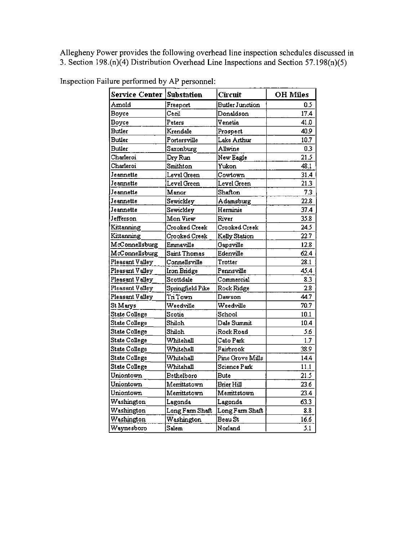Allegheny Power provides the following overhead line inspection schedules discussed in 3. Section 198.(n)(4) Distribution Overhead Line Inspections and Section 57.198(n)(5)

| Service Center       | <b>Substation</b> | Circuit                | <b>OH Miles</b> |
|----------------------|-------------------|------------------------|-----------------|
| Amold                | Freeport          | <b>Butler Junction</b> | 0.5             |
| <b>Boyce</b>         | Cecil             | Donaldson              | 17.4            |
| <b>Boyce</b>         | Peters            | Venetia                | 41.0            |
| <b>Butler</b>        | Krendale          | Prospect               | 40.9            |
| <b>Butler</b>        | Portersville      | Lake Arthur            | 10.7            |
| <b>Butler</b>        | Saxonburg         | Allwine                | 0.3             |
| Charleroi            | Dry Run           | New Eagle              | 21.5            |
| Charleroi            | Smithton          | Yukon                  | 48.1            |
| Jeannette            | Level Green       | Cowtown                | 31.4            |
| Jeannette            | Level Green       | Level Green            | 21.3            |
| Jeannette            | Manor             | Shafton                | 7.3             |
| Jeannette            | Sewickley         | Adamsburg              | 22.8            |
| Jeannette            | Sewickley         | Herminie               | 37.4            |
| Jefferson            | Mon View          | River                  | 35.8            |
| Kittanning           | Crooked Creek     | Crooked Creek          | 24.5            |
| Kittanning           | Crooked Creek     | Kelly Station          | 22.7            |
| McConnellsburg       | Emmaville         | Gapsville              | 12.8            |
| McConnellsburg       | Saint Thomas      | Edenville              | 62.4            |
| Pleasant Valley      | Connellsville     | Trotter                | 28.1            |
| Pleasant Valley      | Iron Bridge       | Pennsville             | 45.4            |
| Pleasant Valley      | Scottdale         | Commercial             | 8.3             |
| Pleasant Valley      | Springfield Pike  | Rock Ridge             | 2.8             |
| Pleasant Valley      | Tri Town          | Dawson                 | 44.7            |
| St Marys             | Weedville         | Weedville              | 70.7            |
| State College        | Scotia            | School                 | 10.1            |
| <b>State College</b> | Shiloh            | Dale Summit            | 10.4            |
| <b>State College</b> | Shiloh            | Rock Road              | 5.6             |
| <b>State College</b> | Whitehall         | Cato Park              | 1.7             |
| <b>State College</b> | Whitehall         | Fairbrook              | 38.9            |
| State College        | Whitehall         | Pine Grove Mills       | 14.4            |
| <b>State College</b> | Whitehall         | Science Park           | 11.1            |
| Uniontown            | Bethelboro        | Bute                   | 21.5            |
| Uniontown            | Merrittstown      | Brier Hill             | 23.6            |
| Uniontown            | Memittstown       | Merrittstown           | 23.4            |
| Washington           | Lagonda           | Lagonda                | 63.3            |
| Washington           | Long Farm Shaft   | Long Farm Shaft        | 8,8             |
| Washington           | Washington        | Beau St                | 16.6            |
| Waynesboro           | Salem             | Norland                | 5.1             |

Inspection Failure performed by AP personnel: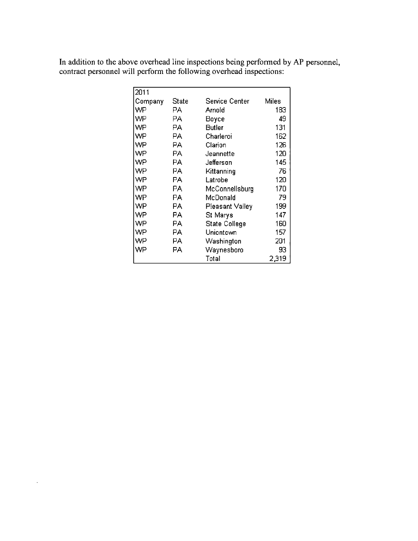In addition to the above overhead line inspections being performed by AP personnel, contract personnel will perform the following overhead inspections:

| 2011    |              |                 |       |
|---------|--------------|-----------------|-------|
| Company | <b>State</b> | Service Center  | Miles |
| WP      | PА           | Arnold          | 183   |
| WP      | РA           | Воусе           | 49    |
| WP      | РA           | <b>Butler</b>   | 131   |
| WP      | PА           | Charleroi       | 162   |
| WP      | PА           | Clarion         | 126   |
| WP      | PА           | Jeannette       | 120   |
| WP      | РA           | Jefferson       | 145   |
| WP      | РA           | Kittanning      | 76    |
| WP      | РA           | Latrobe         | 120   |
| WP      | РA           | McConnellsburg  | 170   |
| WP      | PA.          | McDonald        | 79    |
| WP      | РA           | Pleasant Valley | 199   |
| WP      | РA           | St Marγs        | 147   |
| WP      | PA           | State College   | 160   |
| WP      | PА           | Uniontown       | 157   |
| WP      | PА           | Washington      | 201   |
| WP      | PА           | Waynesboro      | 93    |
|         |              | Total           | 2,319 |

 $\ddot{\phantom{0}}$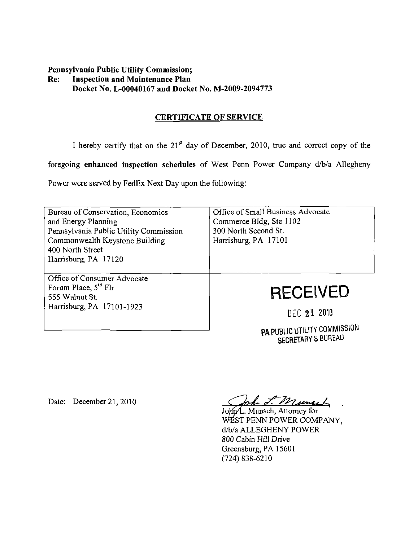## **Pennsylvania Public Utility Commission; Re: Inspection and Maintenance Plan Docket No, L-00040167 and Docket No. M-2009-2094773**

## **CERTIFICATE OF SERVICE**

I hereby certify that on the  $21<sup>st</sup>$  day of December, 2010, true and correct copy of the

foregoing enhanced inspection schedules of West Penn Power Company d/b/a Allegheny

Power were served by FedEx Next Day upon the following:

| Bureau of Conservation, Economics<br>and Energy Planning<br>Pennsylvania Public Utility Commission<br>Commonwealth Keystone Building<br>400 North Street<br>Harrisburg, PA 17120 | Office of Small Business Advocate<br>Commerce Bldg, Ste 1102<br>300 North Second St.<br>Harrisburg, PA 17101 |
|----------------------------------------------------------------------------------------------------------------------------------------------------------------------------------|--------------------------------------------------------------------------------------------------------------|
| Office of Consumer Advocate<br>Forum Place, $5th$ Flr<br>555 Walnut St.<br>Harrisburg, PA 17101-1923                                                                             | <b>RECEIVED</b><br>DEC 21 2010                                                                               |

PA PUBLIC UTILITY COMMISSION SECRETARY'S BUREAU

Date: December 21, 2010

John J. Muneel

John/L. Munsch, Attorney for WEST PENN POWER COMPANY. d/b/a ALLEGHENY POWER 800 Cabin Hill Drive Greensburg, PA 15601 (724)838-6210